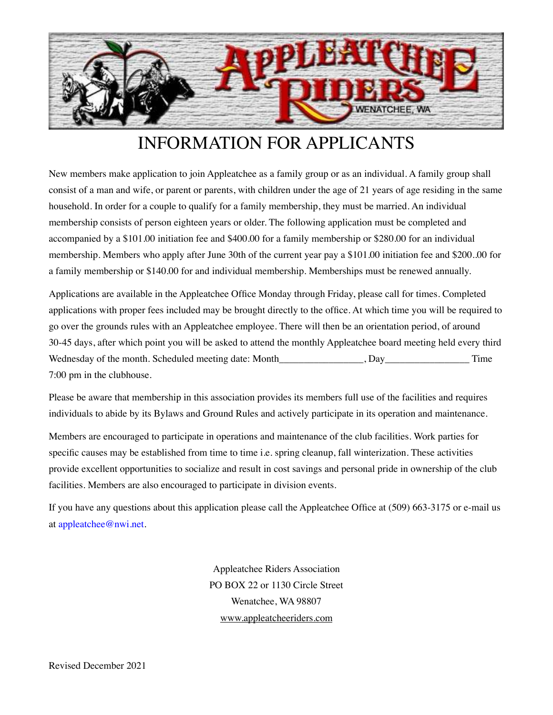

# INFORMATION FOR APPLICANTS

New members make application to join Appleatchee as a family group or as an individual. A family group shall consist of a man and wife, or parent or parents, with children under the age of 21 years of age residing in the same household. In order for a couple to qualify for a family membership, they must be married. An individual membership consists of person eighteen years or older. The following application must be completed and accompanied by a \$101.00 initiation fee and \$400.00 for a family membership or \$280.00 for an individual membership. Members who apply after June 30th of the current year pay a \$101.00 initiation fee and \$200..00 for a family membership or \$140.00 for and individual membership. Memberships must be renewed annually.

Applications are available in the Appleatchee Office Monday through Friday, please call for times. Completed applications with proper fees included may be brought directly to the office. At which time you will be required to go over the grounds rules with an Appleatchee employee. There will then be an orientation period, of around 30-45 days, after which point you will be asked to attend the monthly Appleatchee board meeting held every third Wednesday of the month. Scheduled meeting date: Month \_\_\_\_\_\_\_\_\_\_\_\_, Day\_\_\_\_\_\_\_\_\_\_\_\_\_\_\_ Time 7:00 pm in the clubhouse.

Please be aware that membership in this association provides its members full use of the facilities and requires individuals to abide by its Bylaws and Ground Rules and actively participate in its operation and maintenance.

Members are encouraged to participate in operations and maintenance of the club facilities. Work parties for specific causes may be established from time to time i.e. spring cleanup, fall winterization. These activities provide excellent opportunities to socialize and result in cost savings and personal pride in ownership of the club facilities. Members are also encouraged to participate in division events.

If you have any questions about this application please call the Appleatchee Office at (509) 663-3175 or e-mail us at appleatchee@nwi.net.

> Appleatchee Riders Association PO BOX 22 or 1130 Circle Street Wenatchee, WA 98807 [www.appleatcheeriders.com](http://www.appleatcheeriders.com)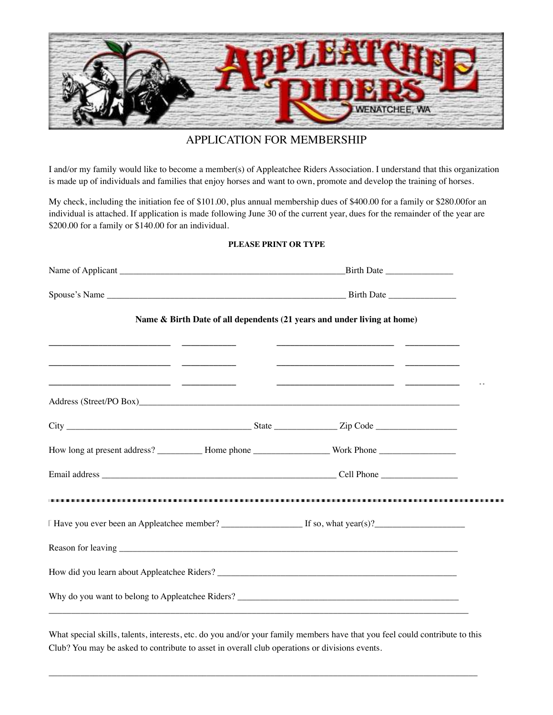

# APPLICATION FOR MEMBERSHIP

I and/or my family would like to become a member(s) of Appleatchee Riders Association. I understand that this organization is made up of individuals and families that enjoy horses and want to own, promote and develop the training of horses.

My check, including the initiation fee of \$101.00, plus annual membership dues of \$400.00 for a family or \$280.00for an individual is attached. If application is made following June 30 of the current year, dues for the remainder of the year are \$200.00 for a family or \$140.00 for an individual.

### **PLEASE PRINT OR TYPE**

|                                                                                                                |  | Name & Birth Date of all dependents (21 years and under living at home) |  |
|----------------------------------------------------------------------------------------------------------------|--|-------------------------------------------------------------------------|--|
|                                                                                                                |  |                                                                         |  |
|                                                                                                                |  |                                                                         |  |
|                                                                                                                |  |                                                                         |  |
|                                                                                                                |  |                                                                         |  |
| How long at present address? ____________ Home phone _____________________ Work Phone ________________________ |  |                                                                         |  |
|                                                                                                                |  |                                                                         |  |
|                                                                                                                |  |                                                                         |  |
|                                                                                                                |  |                                                                         |  |
|                                                                                                                |  |                                                                         |  |
|                                                                                                                |  |                                                                         |  |
|                                                                                                                |  |                                                                         |  |
|                                                                                                                |  |                                                                         |  |

What special skills, talents, interests, etc. do you and/or your family members have that you feel could contribute to this Club? You may be asked to contribute to asset in overall club operations or divisions events.

 $\overline{a_1}$  ,  $\overline{a_2}$  ,  $\overline{a_3}$  ,  $\overline{a_4}$  ,  $\overline{a_5}$  ,  $\overline{a_6}$  ,  $\overline{a_7}$  ,  $\overline{a_8}$  ,  $\overline{a_9}$  ,  $\overline{a_9}$  ,  $\overline{a_9}$  ,  $\overline{a_9}$  ,  $\overline{a_9}$  ,  $\overline{a_9}$  ,  $\overline{a_9}$  ,  $\overline{a_9}$  ,  $\overline{a_9}$  ,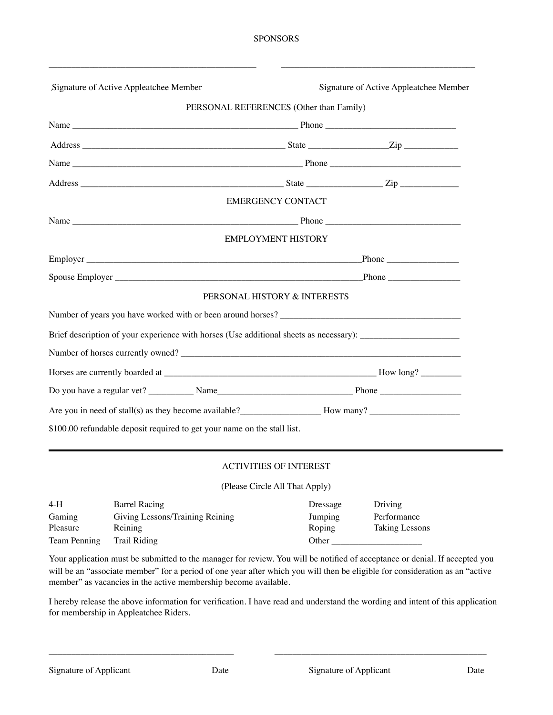\_\_\_\_\_\_\_\_\_\_\_\_\_\_\_\_\_\_\_\_\_\_\_\_\_\_\_\_\_\_\_\_\_\_\_\_\_\_\_\_\_\_\_\_\_\_ \_\_\_\_\_\_\_\_\_\_\_\_\_\_\_\_\_\_\_\_\_\_\_\_\_\_\_\_\_\_\_\_\_\_\_\_\_\_\_\_\_\_\_

| Signature of Active Appleatchee Member                                                                                                                               |                                         | Signature of Active Appleatchee Member |
|----------------------------------------------------------------------------------------------------------------------------------------------------------------------|-----------------------------------------|----------------------------------------|
|                                                                                                                                                                      | PERSONAL REFERENCES (Other than Family) |                                        |
|                                                                                                                                                                      |                                         |                                        |
|                                                                                                                                                                      |                                         |                                        |
|                                                                                                                                                                      |                                         |                                        |
|                                                                                                                                                                      |                                         |                                        |
|                                                                                                                                                                      | <b>EMERGENCY CONTACT</b>                |                                        |
|                                                                                                                                                                      |                                         |                                        |
|                                                                                                                                                                      | <b>EMPLOYMENT HISTORY</b>               |                                        |
|                                                                                                                                                                      |                                         |                                        |
|                                                                                                                                                                      |                                         |                                        |
|                                                                                                                                                                      | PERSONAL HISTORY & INTERESTS            |                                        |
|                                                                                                                                                                      |                                         |                                        |
|                                                                                                                                                                      |                                         |                                        |
|                                                                                                                                                                      |                                         |                                        |
|                                                                                                                                                                      |                                         |                                        |
|                                                                                                                                                                      |                                         |                                        |
| Are you in need of stall(s) as they become available?<br><u>Letting</u> How many?<br>Moved in need of stall(s) as they become available?<br><u>Letting How many?</u> |                                         |                                        |
| \$100.00 refundable deposit required to get your name on the stall list.                                                                                             |                                         |                                        |

# ACTIVITIES OF INTEREST

(Please Circle All That Apply)

| $4-H$        | Barrel Racing                   | Dressage | Driving        |
|--------------|---------------------------------|----------|----------------|
| Gaming       | Giving Lessons/Training Reining | Jumping  | Performance    |
| Pleasure     | Reining                         | Roping   | Taking Lessons |
| Team Penning | Trail Riding                    | Other    |                |

Your application must be submitted to the manager for review. You will be notified of acceptance or denial. If accepted you will be an "associate member" for a period of one year after which you will then be eligible for consideration as an "active member" as vacancies in the active membership become available.

I hereby release the above information for verification. I have read and understand the wording and intent of this application for membership in Appleatchee Riders.

\_\_\_\_\_\_\_\_\_\_\_\_\_\_\_\_\_\_\_\_\_\_\_\_\_\_\_\_\_\_\_\_\_\_\_\_\_\_\_\_\_ \_\_\_\_\_\_\_\_\_\_\_\_\_\_\_\_\_\_\_\_\_\_\_\_\_\_\_\_\_\_\_\_\_\_\_\_\_\_\_\_\_\_\_\_\_\_\_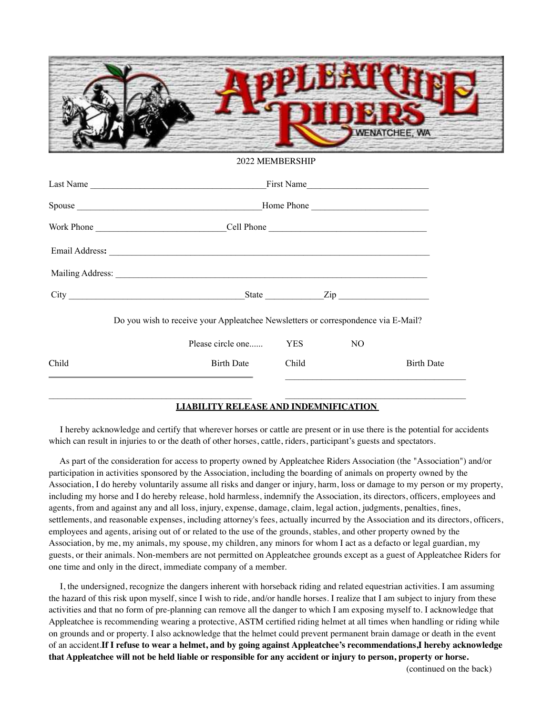

#### 2022 MEMBERSHIP

|                                                                                                 | Last Name<br>First Name                                                                                                                                                                                                       |       |                            |                   |  |
|-------------------------------------------------------------------------------------------------|-------------------------------------------------------------------------------------------------------------------------------------------------------------------------------------------------------------------------------|-------|----------------------------|-------------------|--|
|                                                                                                 | Home Phone                                                                                                                                                                                                                    |       |                            |                   |  |
|                                                                                                 |                                                                                                                                                                                                                               |       |                            |                   |  |
|                                                                                                 |                                                                                                                                                                                                                               |       |                            |                   |  |
|                                                                                                 | Mailing Address: Lawrence and San Address and San Address and San Address and San Address and San Address and San Address and San Address and San Address and San Address and San Address and San Address and San Address and |       |                            |                   |  |
|                                                                                                 |                                                                                                                                                                                                                               |       | State $\frac{Zip}{\cdots}$ |                   |  |
|                                                                                                 | Do you wish to receive your Appleatchee Newsletters or correspondence via E-Mail?                                                                                                                                             |       |                            |                   |  |
|                                                                                                 | Please circle one                                                                                                                                                                                                             | YES   | NO.                        |                   |  |
| Child                                                                                           | <b>Birth Date</b>                                                                                                                                                                                                             | Child |                            | <b>Birth Date</b> |  |
| the contract of the contract of the contract of the contract of the contract of the contract of |                                                                                                                                                                                                                               |       |                            |                   |  |

# **LIABILITY RELEASE AND INDEMNIFICATION**

 I hereby acknowledge and certify that wherever horses or cattle are present or in use there is the potential for accidents which can result in injuries to or the death of other horses, cattle, riders, participant's guests and spectators.

 $\_$  , and the set of the set of the set of the set of the set of the set of the set of the set of the set of the set of the set of the set of the set of the set of the set of the set of the set of the set of the set of th

 As part of the consideration for access to property owned by Appleatchee Riders Association (the "Association") and/or participation in activities sponsored by the Association, including the boarding of animals on property owned by the Association, I do hereby voluntarily assume all risks and danger or injury, harm, loss or damage to my person or my property, including my horse and I do hereby release, hold harmless, indemnify the Association, its directors, officers, employees and agents, from and against any and all loss, injury, expense, damage, claim, legal action, judgments, penalties, fines, settlements, and reasonable expenses, including attorney's fees, actually incurred by the Association and its directors, officers, employees and agents, arising out of or related to the use of the grounds, stables, and other property owned by the Association, by me, my animals, my spouse, my children, any minors for whom I act as a defacto or legal guardian, my guests, or their animals. Non-members are not permitted on Appleatchee grounds except as a guest of Appleatchee Riders for one time and only in the direct, immediate company of a member.

 I, the undersigned, recognize the dangers inherent with horseback riding and related equestrian activities. I am assuming the hazard of this risk upon myself, since I wish to ride, and/or handle horses. I realize that I am subject to injury from these activities and that no form of pre-planning can remove all the danger to which I am exposing myself to. I acknowledge that Appleatchee is recommending wearing a protective, ASTM certified riding helmet at all times when handling or riding while on grounds and or property. I also acknowledge that the helmet could prevent permanent brain damage or death in the event of an accident.**If I refuse to wear a helmet, and by going against Appleatchee's recommendations,I hereby acknowledge that Appleatchee will not be held liable or responsible for any accident or injury to person, property or horse.** 

(continued on the back)